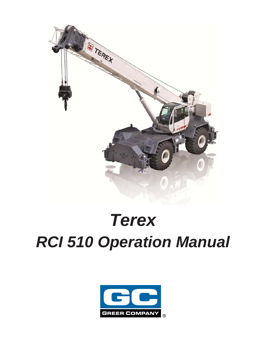

# *Terex RCI 510 Operation Manual*

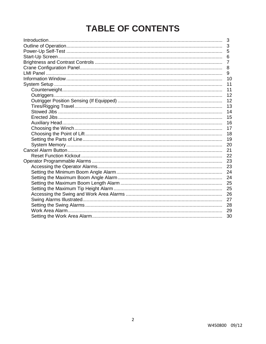# **TABLE OF CONTENTS**

| 3  |
|----|
|    |
| 6  |
| 7  |
| 8  |
| 9  |
| 10 |
| 11 |
| 11 |
| 12 |
| 12 |
| 13 |
| 14 |
| 15 |
| 16 |
| 17 |
| 18 |
| 19 |
| 20 |
| 21 |
| 22 |
| 23 |
| 23 |
| 24 |
| 24 |
|    |
| 25 |
| 26 |
| 27 |
| 28 |
|    |
| 30 |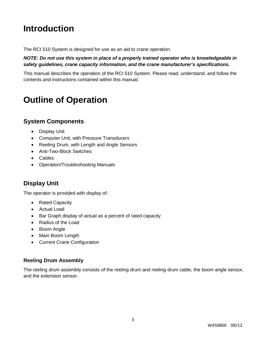# **Introduction**

The RCI 510 System is designed for use as an aid to crane operation.

#### *NOTE: Do not use this system in place of a properly trained operator who is knowledgeable in safety guidelines, crane capacity information, and the crane manufacturer's specifications.*

This manual describes the operation of the RCI 510 System. Please read, understand, and follow the contents and instructions contained within this manual.

# **Outline of Operation**

### **System Components**

- Display Unit
- Computer Unit, with Pressure Transducers
- Reeling Drum, with Length and Angle Sensors
- Anti-Two-Block Switches
- Cables
- Operation/Troubleshooting Manuals

#### **Display Unit**

The operator is provided with display of:

- Rated Capacity
- Actual Load
- Bar Graph display of actual as a percent of rated capacity
- Radius of the Load
- Boom Angle
- Main Boom Length
- Current Crane Configuration

#### **Reeling Drum Assembly**

The reeling drum assembly consists of the reeling drum and reeling drum cable, the boom angle sensor, and the extension sensor.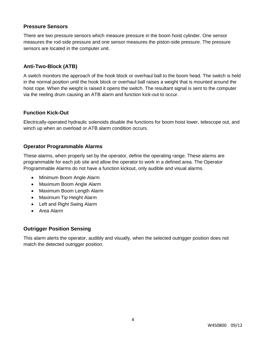#### **Pressure Sensors**

There are two pressure sensors which measure pressure in the boom hoist cylinder. One sensor measures the rod-side pressure and one sensor measures the piston-side pressure. The pressure sensors are located in the computer unit.

#### **Anti-Two-Block (ATB)**

A switch monitors the approach of the hook block or overhaul ball to the boom head. The switch is held in the normal position until the hook block or overhaul ball raises a weight that is mounted around the hoist rope. When the weight is raised it opens the switch. The resultant signal is sent to the computer via the reeling drum causing an ATB alarm and function kick-out to occur.

#### **Function Kick-Out**

Electrically-operated hydraulic solenoids disable the functions for boom hoist lower, telescope out, and winch up when an overload or ATB alarm condition occurs.

#### **Operator Programmable Alarms**

These alarms, when properly set by the operator, define the operating range. These alarms are programmable for each job site and allow the operator to work in a defined area. The Operator Programmable Alarms do not have a function kickout, only audible and visual alarms.

- Minimum Boom Angle Alarm
- Maximum Boom Angle Alarm
- Maximum Boom Length Alarm
- Maximum Tip Height Alarm
- Left and Right Swing Alarm
- Area Alarm

#### **Outrigger Position Sensing**

This alarm alerts the operator, audibly and visually, when the selected outrigger position does not match the detected outrigger position.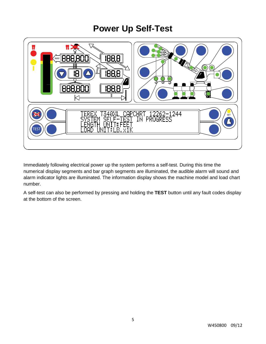# **Power Up Self-Test**



Immediately following electrical power up the system performs a self-test. During this time the numerical display segments and bar graph segments are illuminated, the audible alarm will sound and alarm indicator lights are illuminated. The information display shows the machine model and load chart number.

A self-test can also be performed by pressing and holding the **TEST** button until any fault codes display at the bottom of the screen.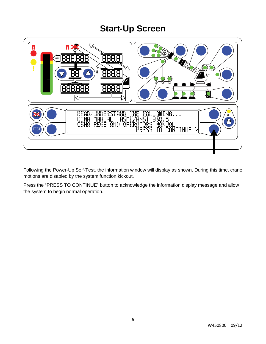# **Start-Up Screen**



Following the Power-Up Self-Test, the information window will display as shown. During this time, crane motions are disabled by the system function kickout.

Press the "PRESS TO CONTINUE" button to acknowledge the information display message and allow the system to begin normal operation.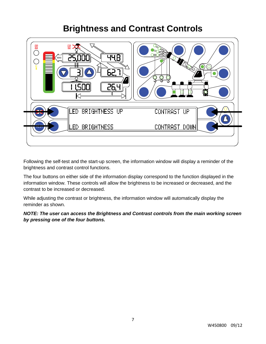# **Brightness and Contrast Controls**



Following the self-test and the start-up screen, the information window will display a reminder of the brightness and contrast control functions.

The four buttons on either side of the information display correspond to the function displayed in the information window. These controls will allow the brightness to be increased or decreased, and the contrast to be increased or decreased.

While adjusting the contrast or brightness, the information window will automatically display the reminder as shown.

*NOTE: The user can access the Brightness and Contrast controls from the main working screen by pressing one of the four buttons.*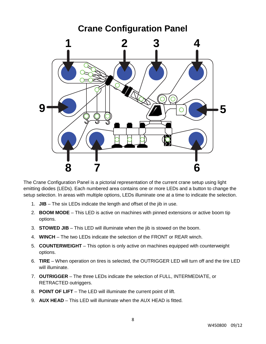

The Crane Configuration Panel is a pictorial representation of the current crane setup using light emitting diodes (LEDs). Each numbered area contains one or more LEDs and a button to change the setup selection. In areas with multiple options, LEDs illuminate one at a time to indicate the selection.

- 1. **JIB** The six LEDs indicate the length and offset of the jib in use.
- 2. **BOOM MODE** This LED is active on machines with pinned extensions or active boom tip options.
- 3. **STOWED JIB** This LED will illuminate when the jib is stowed on the boom.
- 4. **WINCH** The two LEDs indicate the selection of the FRONT or REAR winch.
- 5. **COUNTERWEIGHT** This option is only active on machines equipped with counterweight options.
- 6. **TIRE** When operation on tires is selected, the OUTRIGGER LED will turn off and the tire LED will illuminate.
- 7. **OUTRIGGER** The three LEDs indicate the selection of FULL, INTERMEDIATE, or RETRACTED outriggers.
- 8. **POINT OF LIFT** The LED will illuminate the current point of lift.
- 9. **AUX HEAD** This LED will illuminate when the AUX HEAD is fitted.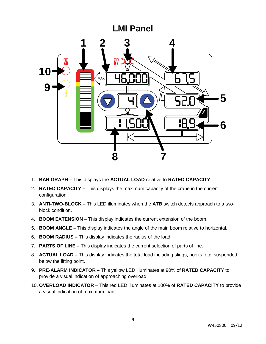# **LMI Panel 1 2 3 4** ÖŎ **10**MAX **9 5 6 8 7**

- 1. **BAR GRAPH –** This displays the **ACTUAL LOAD** relative to **RATED CAPACITY**.
- 2. **RATED CAPACITY –** This displays the maximum capacity of the crane in the current configuration.
- 3. **ANTI-TWO-BLOCK –** This LED illuminates when the **ATB** switch detects approach to a twoblock condition.
- 4. **BOOM EXTENSION** This display indicates the current extension of the boom.
- 5. **BOOM ANGLE –** This display indicates the angle of the main boom relative to horizontal.
- 6. **BOOM RADIUS –** This display indicates the radius of the load.
- 7. **PARTS OF LINE –** This display indicates the current selection of parts of line.
- 8. **ACTUAL LOAD –** This display indicates the total load including slings, hooks, etc. suspended below the lifting point.
- 9. **PRE-ALARM INDICATOR –** This yellow LED illuminates at 90% of **RATED CAPACITY** to provide a visual indication of approaching overload.
- 10. **OVERLOAD INDICATOR** This red LED illuminates at 100% of **RATED CAPACITY** to provide a visual indication of maximum load.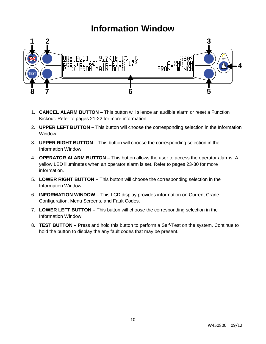## **Information Window**



- 1. **CANCEL ALARM BUTTON –** This button will silence an audible alarm or reset a Function Kickout. Refer to pages 21-22 for more information.
- 2. **UPPER LEFT BUTTON –** This button will choose the corresponding selection in the Information Window.
- 3. **UPPER RIGHT BUTTON –** This button will choose the corresponding selection in the Information Window.
- 4. **OPERATOR ALARM BUTTON –** This button allows the user to access the operator alarms. A yellow LED illuminates when an operator alarm is set. Refer to pages 23-30 for more information.
- 5. **LOWER RIGHT BUTTON –** This button will choose the corresponding selection in the Information Window.
- 6. **INFORMATION WINDOW –** This LCD display provides information on Current Crane Configuration, Menu Screens, and Fault Codes.
- 7. **LOWER LEFT BUTTON –** This button will choose the corresponding selection in the Information Window.
- 8. **TEST BUTTON –** Press and hold this button to perform a Self-Test on the system. Continue to hold the button to display the any fault codes that may be present.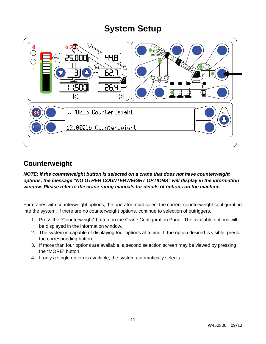

### **Counterweight**

*NOTE: If the counterweight button is selected on a crane that does not have counterweight options, the message "NO OTHER COUNTERWEIGHT OPTIONS" will display in the information window. Please refer to the crane rating manuals for details of options on the machine.*

For cranes with counterweight options, the operator must select the current counterweight configuration into the system. If there are no counterweight options, continue to selection of outriggers.

- 1. Press the "Counterweight" button on the Crane Configuration Panel. The available options will be displayed in the information window.
- 2. The system is capable of displaying four options at a time. If the option desired is visible, press the corresponding button.
- 3. If more than four options are available, a second selection screen may be viewed by pressing the "MORE" button.
- 4. If only a single option is available, the system automatically selects it.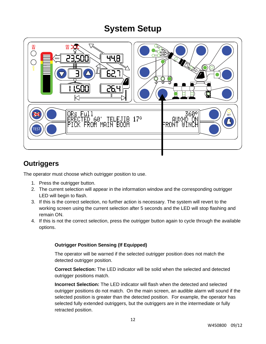

### **Outriggers**

The operator must choose which outrigger position to use.

- 1. Press the outrigger button.
- 2. The current selection will appear in the information window and the corresponding outrigger LED will begin to flash.
- 3. If this is the correct selection, no further action is necessary. The system will revert to the working screen using the current selection after 5 seconds and the LED will stop flashing and remain ON.
- 4. If this is not the correct selection, press the outrigger button again to cycle through the available options.

#### **Outrigger Position Sensing (If Equipped)**

The operator will be warned if the selected outrigger position does not match the detected outrigger position.

**Correct Selection:** The LED indicator will be solid when the selected and detected outrigger positions match.

**Incorrect Selection:** The LED indicator will flash when the detected and selected outrigger positions do not match. On the main screen, an audible alarm will sound if the selected position is greater than the detected position. For example, the operator has selected fully extended outriggers, but the outriggers are in the intermediate or fully retracted position.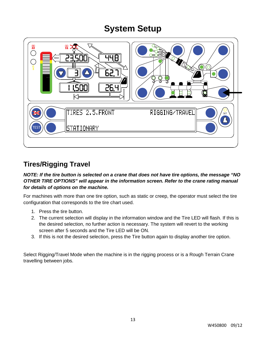

### **Tires/Rigging Travel**

#### *NOTE: If the tire button is selected on a crane that does not have tire options, the message "NO OTHER TIRE OPTIONS" will appear in the information screen. Refer to the crane rating manual for details of options on the machine.*

For machines with more than one tire option, such as static or creep, the operator must select the tire configuration that corresponds to the tire chart used.

- 1. Press the tire button.
- 2. The current selection will display in the information window and the Tire LED will flash. If this is the desired selection, no further action is necessary. The system will revert to the working screen after 5 seconds and the Tire LED will be ON.
- 3. If this is not the desired selection, press the Tire button again to display another tire option.

Select Rigging/Travel Mode when the machine is in the rigging process or is a Rough Terrain Crane travelling between jobs.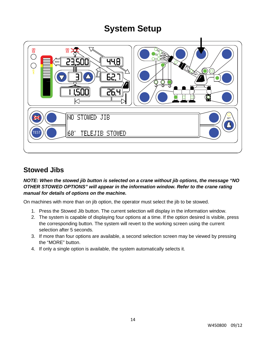

### **Stowed Jibs**

#### *NOTE: When the stowed jib button is selected on a crane without jib options, the message "NO OTHER STOWED OPTIONS" will appear in the information window. Refer to the crane rating manual for details of options on the machine.*

On machines with more than on jib option, the operator must select the jib to be stowed.

- 1. Press the Stowed Jib button. The current selection will display in the information window.
- 2. The system is capable of displaying four options at a time. If the option desired is visible, press the corresponding button. The system will revert to the working screen using the current selection after 5 seconds.
- 3. If more than four options are available, a second selection screen may be viewed by pressing the "MORE" button.
- 4. If only a single option is available, the system automatically selects it.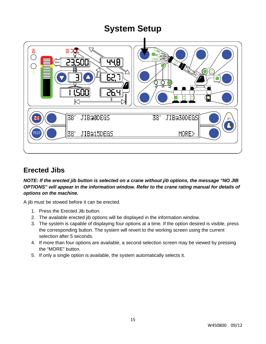

### **Erected Jibs**

#### *NOTE: If the erected jib button is selected on a crane without jib options, the message "NO JIB OPTIONS" will appear in the information window. Refer to the crane rating manual for details of options on the machine.*

A jib must be stowed before it can be erected.

- 1. Press the Erected Jib button.
- 2. The available erected jib options will be displayed in the information window.
- 3. The system is capable of displaying four options at a time. If the option desired is visible, press the corresponding button. The system will revert to the working screen using the current selection after 5 seconds.
- 4. If more than four options are available, a second selection screen may be viewed by pressing the "MORE" button.
- 5. If only a single option is available, the system automatically selects it.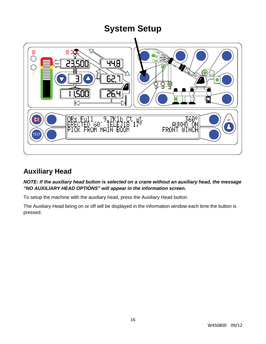

### **Auxiliary Head**

*NOTE: If the auxiliary head button is selected on a crane without an auxiliary head, the message "NO AUXILIARY HEAD OPTIONS" will appear in the information screen.*

To setup the machine with the auxiliary head, press the Auxiliary Head button.

The Auxiliary Head being on or off will be displayed in the information window each time the button is pressed.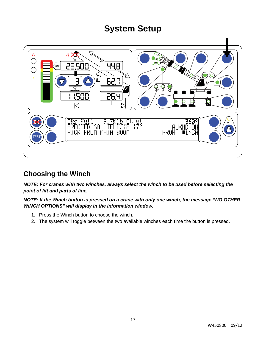

### **Choosing the Winch**

*NOTE: For cranes with two winches, always select the winch to be used before selecting the point of lift and parts of line.*

*NOTE: If the Winch button is pressed on a crane with only one winch, the message "NO OTHER WINCH OPTIONS" will display in the information window.*

- 1. Press the Winch button to choose the winch.
- 2. The system will toggle between the two available winches each time the button is pressed.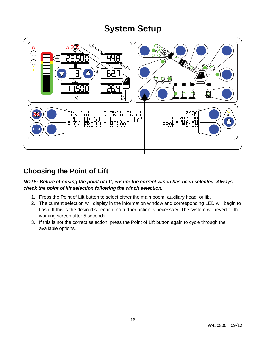

### **Choosing the Point of Lift**

#### *NOTE: Before choosing the point of lift, ensure the correct winch has been selected. Always check the point of lift selection following the winch selection.*

- 1. Press the Point of Lift button to select either the main boom, auxiliary head, or jib.
- 2. The current selection will display in the information window and corresponding LED will begin to flash. If this is the desired selection, no further action is necessary. The system will revert to the working screen after 5 seconds.
- 3. If this is not the correct selection, press the Point of Lift button again to cycle through the available options.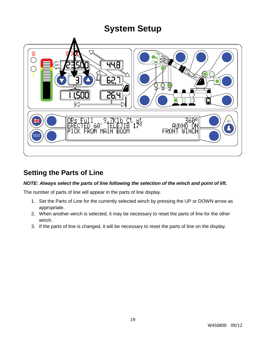

### **Setting the Parts of Line**

#### *NOTE: Always select the parts of line following the selection of the winch and point of lift.*

The number of parts of line will appear in the parts of line display.

- 1. Set the Parts of Line for the currently selected winch by pressing the UP or DOWN arrow as appropriate.
- 2. When another winch is selected, it may be necessary to reset the parts of line for the other winch.
- 3. If the parts of line is changed, it will be necessary to reset the parts of line on the display.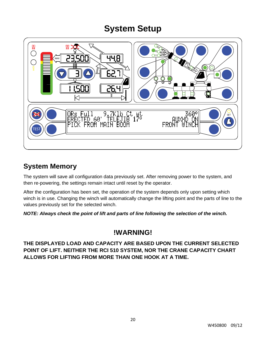

### **System Memory**

The system will save all configuration data previously set. After removing power to the system, and then re-powering, the settings remain intact until reset by the operator.

After the configuration has been set, the operation of the system depends only upon setting which winch is in use. Changing the winch will automatically change the lifting point and the parts of line to the values previously set for the selected winch.

*NOTE: Always check the point of lift and parts of line following the selection of the winch.*

### **!WARNING!**

**THE DISPLAYED LOAD AND CAPACITY ARE BASED UPON THE CURRENT SELECTED POINT OF LIFT. NEITHER THE RCI 510 SYSTEM, NOR THE CRANE CAPACITY CHART ALLOWS FOR LIFTING FROM MORE THAN ONE HOOK AT A TIME.**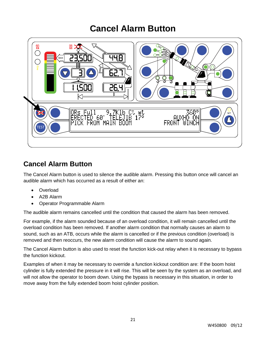## **Cancel Alarm Button**



### **Cancel Alarm Button**

The Cancel Alarm button is used to silence the audible alarm. Pressing this button once will cancel an audible alarm which has occurred as a result of either an:

- Overload
- A2B Alarm
- Operator Programmable Alarm

The audible alarm remains cancelled until the condition that caused the alarm has been removed.

For example, if the alarm sounded because of an overload condition, it will remain cancelled until the overload condition has been removed. If another alarm condition that normally causes an alarm to sound, such as an ATB, occurs while the alarm is cancelled or if the previous condition (overload) is removed and then reoccurs, the new alarm condition will cause the alarm to sound again.

The Cancel Alarm button is also used to reset the function kick-out relay when it is necessary to bypass the function kickout.

Examples of when it may be necessary to override a function kickout condition are: If the boom hoist cylinder is fully extended the pressure in it will rise. This will be seen by the system as an overload, and will not allow the operator to boom down. Using the bypass is necessary in this situation, in order to move away from the fully extended boom hoist cylinder position.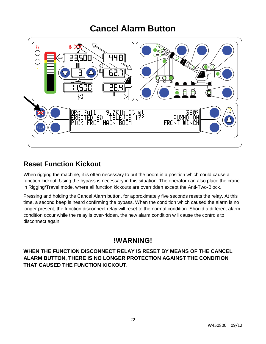## **Cancel Alarm Button**



### **Reset Function Kickout**

When rigging the machine, it is often necessary to put the boom in a position which could cause a function kickout. Using the bypass is necessary in this situation. The operator can also place the crane in Rigging/Travel mode, where all function kickouts are overridden except the Anti-Two-Block.

Pressing and holding the Cancel Alarm button, for approximately five seconds resets the relay. At this time, a second beep is heard confirming the bypass. When the condition which caused the alarm is no longer present, the function disconnect relay will reset to the normal condition. Should a different alarm condition occur while the relay is over-ridden, the new alarm condition will cause the controls to disconnect again.

### **!WARNING!**

**WHEN THE FUNCTION DISCONNECT RELAY IS RESET BY MEANS OF THE CANCEL ALARM BUTTON, THERE IS NO LONGER PROTECTION AGAINST THE CONDITION THAT CAUSED THE FUNCTION KICKOUT.**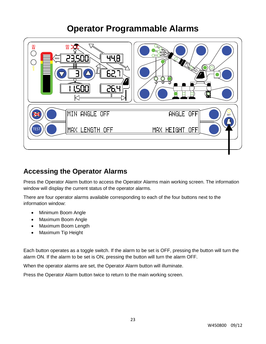

### **Accessing the Operator Alarms**

Press the Operator Alarm button to access the Operator Alarms main working screen. The information window will display the current status of the operator alarms.

There are four operator alarms available corresponding to each of the four buttons next to the information window:

- Minimum Boom Angle
- Maximum Boom Angle
- Maximum Boom Length
- Maximum Tip Height

Each button operates as a toggle switch. If the alarm to be set is OFF, pressing the button will turn the alarm ON. If the alarm to be set is ON, pressing the button will turn the alarm OFF.

When the operator alarms are set, the Operator Alarm button will illuminate.

Press the Operator Alarm button twice to return to the main working screen.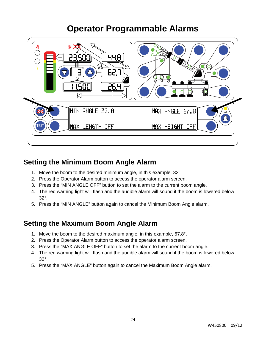

### **Setting the Minimum Boom Angle Alarm**

- 1. Move the boom to the desired minimum angle, in this example, 32°.
- 2. Press the Operator Alarm button to access the operator alarm screen.
- 3. Press the "MIN ANGLE OFF" button to set the alarm to the current boom angle.
- 4. The red warning light will flash and the audible alarm will sound if the boom is lowered below 32°.
- 5. Press the "MIN ANGLE" button again to cancel the Minimum Boom Angle alarm.

### **Setting the Maximum Boom Angle Alarm**

- 1. Move the boom to the desired maximum angle, in this example, 67.8°.
- 2. Press the Operator Alarm button to access the operator alarm screen.
- 3. Press the "MAX ANGLE OFF" button to set the alarm to the current boom angle.
- 4. The red warning light will flash and the audible alarm will sound if the boom is lowered below 32°.
- 5. Press the "MAX ANGLE" button again to cancel the Maximum Boom Angle alarm.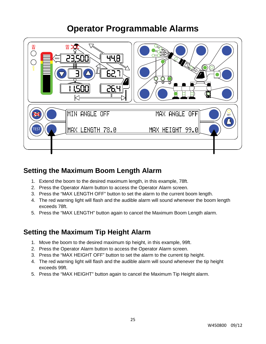

### **Setting the Maximum Boom Length Alarm**

- 1. Extend the boom to the desired maximum length, in this example, 78ft.
- 2. Press the Operator Alarm button to access the Operator Alarm screen.
- 3. Press the "MAX LENGTH OFF" button to set the alarm to the current boom length.
- 4. The red warning light will flash and the audible alarm will sound whenever the boom length exceeds 78ft.
- 5. Press the "MAX LENGTH" button again to cancel the Maximum Boom Length alarm.

### **Setting the Maximum Tip Height Alarm**

- 1. Move the boom to the desired maximum tip height, in this example, 99ft.
- 2. Press the Operator Alarm button to access the Operator Alarm screen.
- 3. Press the "MAX HEIGHT OFF" button to set the alarm to the current tip height.
- 4. The red warning light will flash and the audible alarm will sound whenever the tip height exceeds 99ft.
- 5. Press the "MAX HEIGHT" button again to cancel the Maximum Tip Height alarm.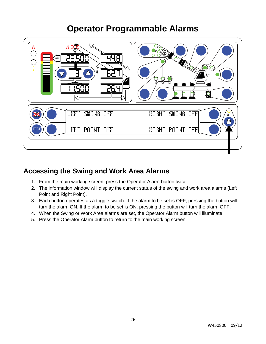

### **Accessing the Swing and Work Area Alarms**

- 1. From the main working screen, press the Operator Alarm button twice.
- 2. The information window will display the current status of the swing and work area alarms (Left Point and Right Point).
- 3. Each button operates as a toggle switch. If the alarm to be set is OFF, pressing the button will turn the alarm ON. If the alarm to be set is ON, pressing the button will turn the alarm OFF.
- 4. When the Swing or Work Area alarms are set, the Operator Alarm button will illuminate.
- 5. Press the Operator Alarm button to return to the main working screen.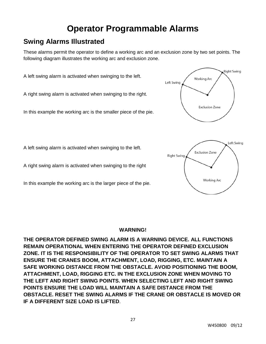### **Swing Alarms Illustrated**

These alarms permit the operator to define a working arc and an exclusion zone by two set points. The following diagram illustrates the working arc and exclusion zone.

A left swing alarm is activated when swinging to the left. **Working Arc** Left Swing A right swing alarm is activated when swinging to the right. **Exclusion Zone** In this example the working arc is the smaller piece of the pie.

A left swing alarm is activated when swinging to the left.

A right swing alarm is activated when swinging to the right

In this example the working arc is the larger piece of the pie.

#### **WARNING!**

**THE OPERATOR DEFINED SWING ALARM IS A WARNING DEVICE. ALL FUNCTIONS REMAIN OPERATIONAL WHEN ENTERING THE OPERATOR DEFINED EXCLUSION ZONE. IT IS THE RESPONSIBILITY OF THE OPERATOR TO SET SWING ALARMS THAT ENSURE THE CRANES BOOM, ATTACHMENT, LOAD, RIGGING, ETC. MAINTAIN A SAFE WORKING DISTANCE FROM THE OBSTACLE. AVOID POSITIONING THE BOOM, ATTACHMENT, LOAD, RIGGING ETC. IN THE EXCLUSION ZONE WHEN MOVING TO THE LEFT AND RIGHT SWING POINTS. WHEN SELECTING LEFT AND RIGHT SWING POINTS ENSURE THE LOAD WILL MAINTAIN A SAFE DISTANCE FROM THE OBSTACLE. RESET THE SWING ALARMS IF THE CRANE OR OBSTACLE IS MOVED OR IF A DIFFERENT SIZE LOAD IS LIFTED**.



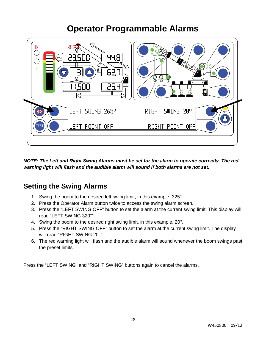

*NOTE: The Left and Right Swing Alarms must be set for the alarm to operate correctly. The red warning light will flash and the audible alarm will sound if both alarms are not set.*

### **Setting the Swing Alarms**

- 1. Swing the boom to the desired left swing limit, in this example, 325°.
- 2. Press the Operator Alarm button twice to access the swing alarm screen.
- 3. Press the "LEFT SWING OFF" button to set the alarm at the current swing limit. This display will read "LEFT SWING 320°".
- 4. Swing the boom to the desired right swing limit, in this example, 20°.
- 5. Press the "RIGHT SWING OFF" button to set the alarm at the current swing limit. The display will read "RIGHT SWING 20°".
- 6. The red warning light will flash and the audible alarm will sound whenever the boom swings past the preset limits.

Press the "LEFT SWING" and "RIGHT SWING" buttons again to cancel the alarms.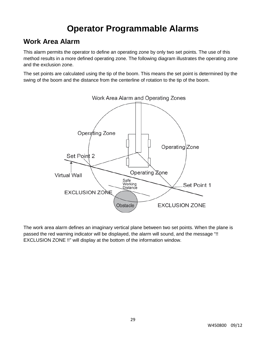### **Work Area Alarm**

This alarm permits the operator to define an operating zone by only two set points. The use of this method results in a more defined operating zone. The following diagram illustrates the operating zone and the exclusion zone.

The set points are calculated using the tip of the boom. This means the set point is determined by the swing of the boom and the distance from the centerline of rotation to the tip of the boom.



The work area alarm defines an imaginary vertical plane between two set points. When the plane is passed the red warning indicator will be displayed, the alarm will sound, and the message "!! EXCLUSION ZONE !!" will display at the bottom of the information window.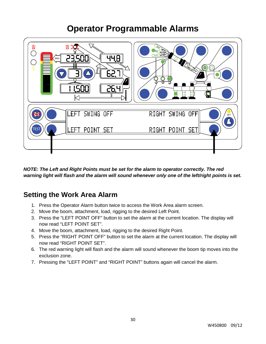

*NOTE: The Left and Right Points must be set for the alarm to operator correctly. The red warning light will flash and the alarm will sound whenever only one of the left/right points is set.*

### **Setting the Work Area Alarm**

- 1. Press the Operator Alarm button twice to access the Work Area alarm screen.
- 2. Move the boom, attachment, load, rigging to the desired Left Point.
- 3. Press the "LEFT POINT OFF" button to set the alarm at the current location. The display will now read "LEFT POINT SET".
- 4. Move the boom, attachment, load, rigging to the desired Right Point.
- 5. Press the "RIGHT POINT OFF" button to set the alarm at the current location. The display will now read "RIGHT POINT SET".
- 6. The red warning light will flash and the alarm will sound whenever the boom tip moves into the exclusion zone.
- 7. Pressing the "LEFT POINT" and "RIGHT POINT" buttons again will cancel the alarm.